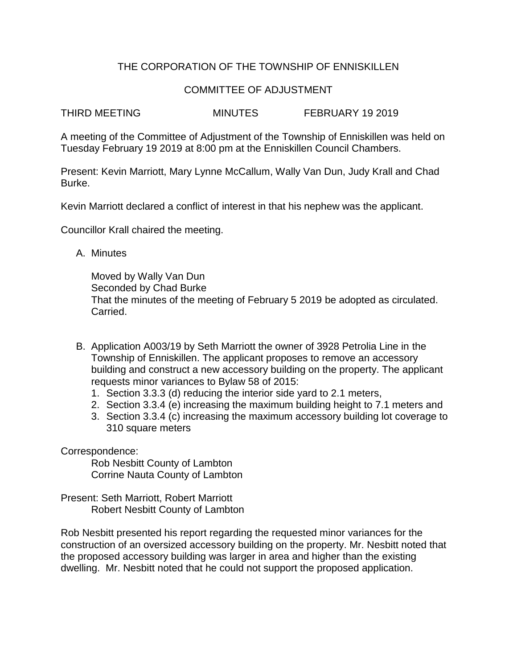## THE CORPORATION OF THE TOWNSHIP OF ENNISKILLEN

## COMMITTEE OF ADJUSTMENT

THIRD MEETING MINUTES FEBRUARY 19 2019

A meeting of the Committee of Adjustment of the Township of Enniskillen was held on Tuesday February 19 2019 at 8:00 pm at the Enniskillen Council Chambers.

Present: Kevin Marriott, Mary Lynne McCallum, Wally Van Dun, Judy Krall and Chad Burke.

Kevin Marriott declared a conflict of interest in that his nephew was the applicant.

Councillor Krall chaired the meeting.

A. Minutes

Moved by Wally Van Dun Seconded by Chad Burke That the minutes of the meeting of February 5 2019 be adopted as circulated. Carried.

- B. Application A003/19 by Seth Marriott the owner of 3928 Petrolia Line in the Township of Enniskillen. The applicant proposes to remove an accessory building and construct a new accessory building on the property. The applicant requests minor variances to Bylaw 58 of 2015:
	- 1. Section 3.3.3 (d) reducing the interior side yard to 2.1 meters,
	- 2. Section 3.3.4 (e) increasing the maximum building height to 7.1 meters and
	- 3. Section 3.3.4 (c) increasing the maximum accessory building lot coverage to 310 square meters

Correspondence:

Rob Nesbitt County of Lambton Corrine Nauta County of Lambton

Present: Seth Marriott, Robert Marriott Robert Nesbitt County of Lambton

Rob Nesbitt presented his report regarding the requested minor variances for the construction of an oversized accessory building on the property. Mr. Nesbitt noted that the proposed accessory building was larger in area and higher than the existing dwelling. Mr. Nesbitt noted that he could not support the proposed application.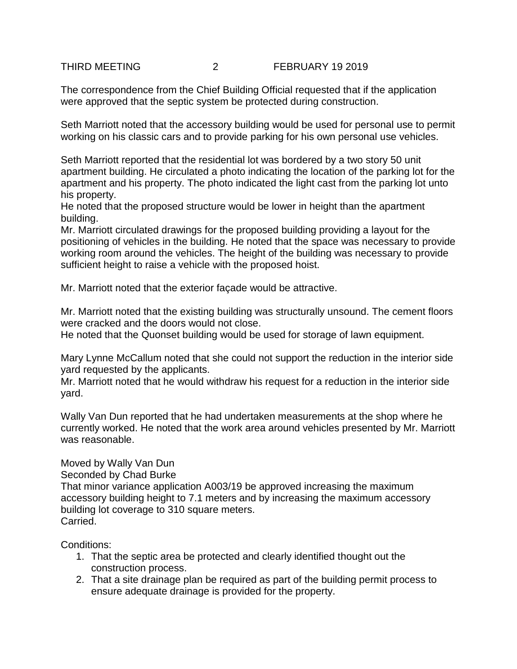## THIRD MEETING 2 FEBRUARY 19 2019

The correspondence from the Chief Building Official requested that if the application were approved that the septic system be protected during construction.

Seth Marriott noted that the accessory building would be used for personal use to permit working on his classic cars and to provide parking for his own personal use vehicles.

Seth Marriott reported that the residential lot was bordered by a two story 50 unit apartment building. He circulated a photo indicating the location of the parking lot for the apartment and his property. The photo indicated the light cast from the parking lot unto his property.

He noted that the proposed structure would be lower in height than the apartment building.

Mr. Marriott circulated drawings for the proposed building providing a layout for the positioning of vehicles in the building. He noted that the space was necessary to provide working room around the vehicles. The height of the building was necessary to provide sufficient height to raise a vehicle with the proposed hoist.

Mr. Marriott noted that the exterior façade would be attractive.

Mr. Marriott noted that the existing building was structurally unsound. The cement floors were cracked and the doors would not close.

He noted that the Quonset building would be used for storage of lawn equipment.

Mary Lynne McCallum noted that she could not support the reduction in the interior side yard requested by the applicants.

Mr. Marriott noted that he would withdraw his request for a reduction in the interior side yard.

Wally Van Dun reported that he had undertaken measurements at the shop where he currently worked. He noted that the work area around vehicles presented by Mr. Marriott was reasonable.

## Moved by Wally Van Dun

Seconded by Chad Burke

That minor variance application A003/19 be approved increasing the maximum accessory building height to 7.1 meters and by increasing the maximum accessory building lot coverage to 310 square meters. Carried.

Conditions:

- 1. That the septic area be protected and clearly identified thought out the construction process.
- 2. That a site drainage plan be required as part of the building permit process to ensure adequate drainage is provided for the property.